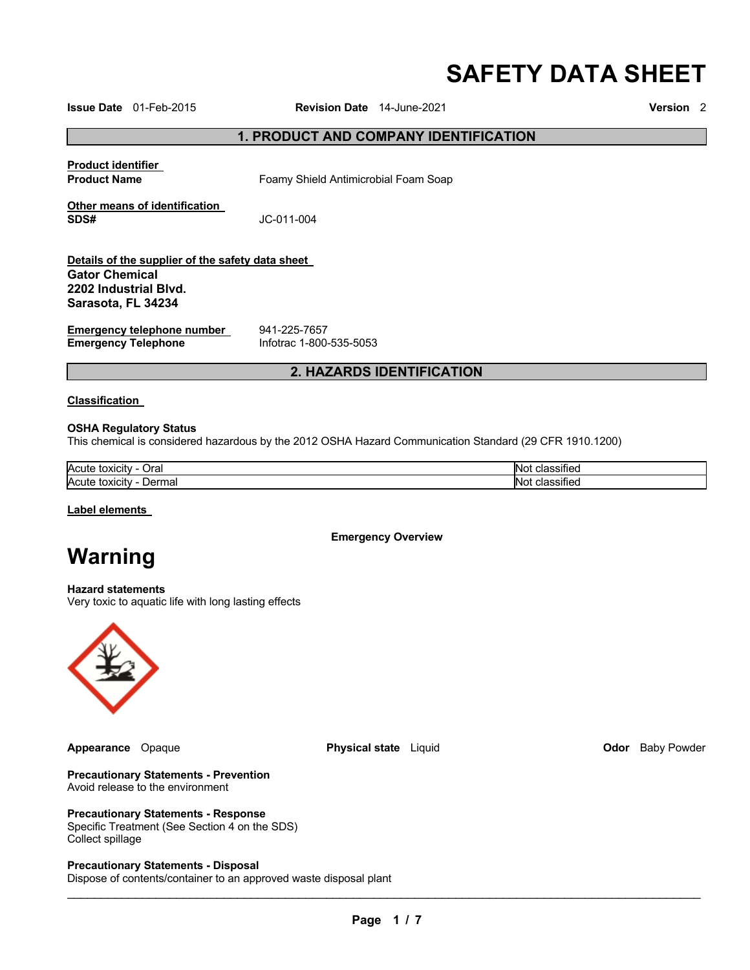# **SAFETY DATA SHEET**

**Issue Date** 01-Feb-2015 **Revision Date** 14-June-2021 **Version** 2

**1. PRODUCT AND COMPANY IDENTIFICATION** 

**Product identifier** 

**Product Name Foamy Shield Antimicrobial Foam Soap** 

**Other means of identification SDS#** JC-011-004

**Details of the supplier of the safety data sheet Gator Chemical 2202 Industrial Blvd. Sarasota, FL 34234**

**Emergency telephone number** 941-225-7657<br> **Emergency Telephone** lnfotrac 1-800-535-5053 **Emergency Telephone** 

# **2. HAZARDS IDENTIFICATION**

#### **Classification**

#### **OSHA Regulatory Status**

This chemical is considered hazardous by the 2012 OSHA Hazard Communication Standard (29 CFR 1910.1200)

| Acute<br>⊃ral<br>toxicity                                        | ľМ<br>sined    |
|------------------------------------------------------------------|----------------|
| Acute<br>$-1$ lorm <sup>-1</sup><br>toxicity<br>maı<br>,,<br>- - | -INF<br>הסוופי |

**Label elements** 

**Emergency Overview** 

# **Warning**

**Hazard statements**

Very toxic to aquatic life with long lasting effects



**Appearance** Opaque **Physical state** Liquid **Odor** Baby Powder

**Precautionary Statements - Prevention** Avoid release to the environment

### **Precautionary Statements - Response**

Specific Treatment (See Section 4 on the SDS) Collect spillage

**Precautionary Statements - Disposal**

Dispose of contents/container to an approved waste disposal plant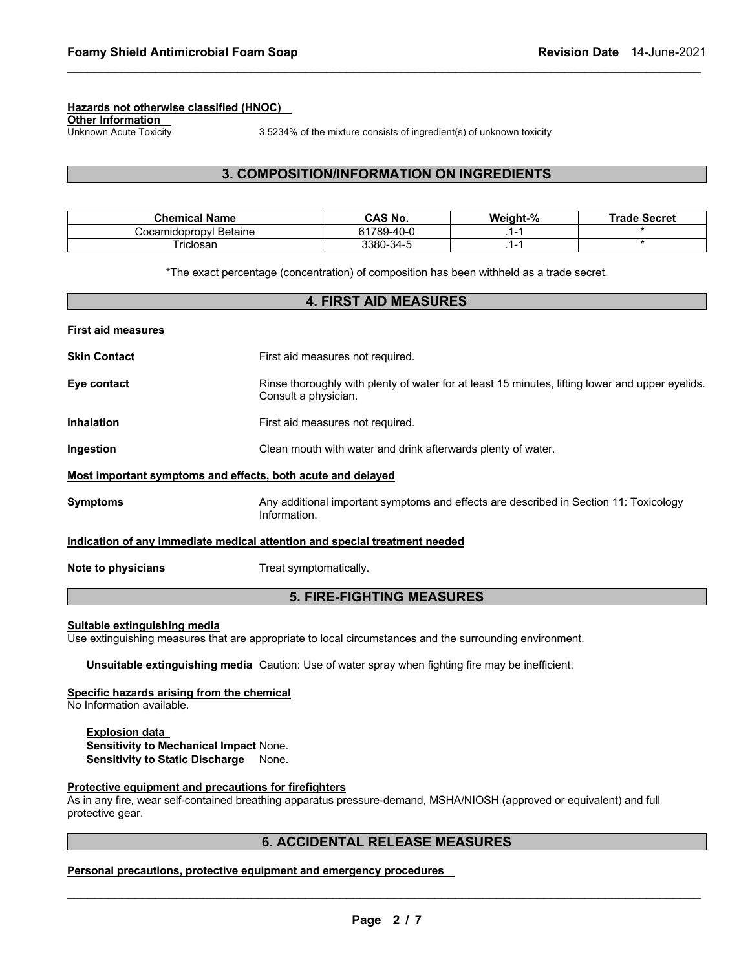#### **Hazards not otherwise classified (HNOC)**

**Other Information** 

Unknown Acute Toxicity 3.5234% of the mixture consists of ingredient(s) of unknown toxicity

### **3. COMPOSITION/INFORMATION ON INGREDIENTS**

\_\_\_\_\_\_\_\_\_\_\_\_\_\_\_\_\_\_\_\_\_\_\_\_\_\_\_\_\_\_\_\_\_\_\_\_\_\_\_\_\_\_\_\_\_\_\_\_\_\_\_\_\_\_\_\_\_\_\_\_\_\_\_\_\_\_\_\_\_\_\_\_\_\_\_\_\_\_\_\_\_\_\_\_\_\_\_\_\_\_\_\_\_

| <b>Chemical Name</b>      | CAS No.         | Weight-% | <b>Trade Secret</b> |
|---------------------------|-----------------|----------|---------------------|
| Betaine<br>Cocamidopropyl | 1789-40-0<br>61 | . .      |                     |
| riclosan                  | 3380-34-5       | . .      |                     |

\*The exact percentage (concentration) of composition has been withheld as a trade secret.

|                           | <b>4. FIRST AID MEASURES</b>                                                                                            |
|---------------------------|-------------------------------------------------------------------------------------------------------------------------|
| <b>First aid measures</b> |                                                                                                                         |
| <b>Skin Contact</b>       | First aid measures not required.                                                                                        |
| Eye contact               | Rinse thoroughly with plenty of water for at least 15 minutes, lifting lower and upper eyelids.<br>Consult a physician. |
| <b>Inhalation</b>         | First aid measures not required.                                                                                        |
| Ingestion                 | Clean mouth with water and drink afterwards plenty of water.                                                            |
|                           | Most important symptoms and effects, both acute and delayed                                                             |
| <b>Symptoms</b>           | Any additional important symptoms and effects are described in Section 11: Toxicology<br>Information.                   |
|                           | Indication of any immediate medical attention and special treatment needed                                              |
| Note to physicians        | Treat symptomatically.                                                                                                  |
|                           | <b>5. FIRE-FIGHTING MEASURES</b>                                                                                        |

#### **Suitable extinguishing media**

Use extinguishing measures that are appropriate to local circumstances and the surrounding environment.

**Unsuitable extinguishing media** Caution: Use of water spray when fighting fire may be inefficient.

#### **Specific hazards arising from the chemical**

No Information available.

**Explosion data Sensitivity to Mechanical Impact** None. **Sensitivity to Static Discharge** None.

#### **Protective equipment and precautions for firefighters**

As in any fire, wear self-contained breathing apparatus pressure-demand, MSHA/NIOSH (approved or equivalent) and full protective gear.

# **6. ACCIDENTAL RELEASE MEASURES**

**Personal precautions, protective equipment and emergency procedures**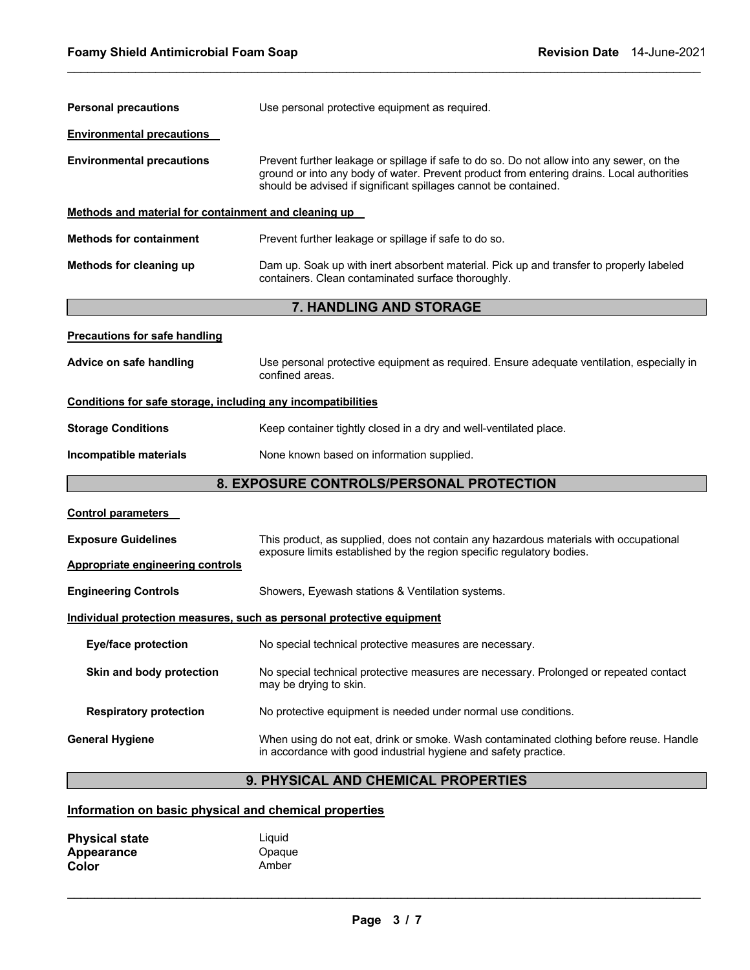| <b>Personal precautions</b>                                  | Use personal protective equipment as required.                                                                                                                                                                                                            |  |
|--------------------------------------------------------------|-----------------------------------------------------------------------------------------------------------------------------------------------------------------------------------------------------------------------------------------------------------|--|
| <b>Environmental precautions</b>                             |                                                                                                                                                                                                                                                           |  |
| <b>Environmental precautions</b>                             | Prevent further leakage or spillage if safe to do so. Do not allow into any sewer, on the<br>ground or into any body of water. Prevent product from entering drains. Local authorities<br>should be advised if significant spillages cannot be contained. |  |
| Methods and material for containment and cleaning up         |                                                                                                                                                                                                                                                           |  |
| <b>Methods for containment</b>                               | Prevent further leakage or spillage if safe to do so.                                                                                                                                                                                                     |  |
| Methods for cleaning up                                      | Dam up. Soak up with inert absorbent material. Pick up and transfer to properly labeled<br>containers. Clean contaminated surface thoroughly.                                                                                                             |  |
|                                                              | 7. HANDLING AND STORAGE                                                                                                                                                                                                                                   |  |
| <b>Precautions for safe handling</b>                         |                                                                                                                                                                                                                                                           |  |
| Advice on safe handling                                      | Use personal protective equipment as required. Ensure adequate ventilation, especially in<br>confined areas.                                                                                                                                              |  |
| Conditions for safe storage, including any incompatibilities |                                                                                                                                                                                                                                                           |  |
| <b>Storage Conditions</b>                                    | Keep container tightly closed in a dry and well-ventilated place.                                                                                                                                                                                         |  |
| Incompatible materials                                       | None known based on information supplied.                                                                                                                                                                                                                 |  |
| 8. EXPOSURE CONTROLS/PERSONAL PROTECTION                     |                                                                                                                                                                                                                                                           |  |
| <b>Control parameters</b>                                    |                                                                                                                                                                                                                                                           |  |
| <b>Exposure Guidelines</b>                                   | This product, as supplied, does not contain any hazardous materials with occupational<br>exposure limits established by the region specific regulatory bodies.                                                                                            |  |
| <b>Appropriate engineering controls</b>                      |                                                                                                                                                                                                                                                           |  |
| <b>Engineering Controls</b>                                  | Showers, Eyewash stations & Ventilation systems.                                                                                                                                                                                                          |  |
|                                                              | Individual protection measures, such as personal protective equipment                                                                                                                                                                                     |  |
| <b>Eye/face protection</b>                                   | No special technical protective measures are necessary.                                                                                                                                                                                                   |  |
| Skin and body protection                                     | No special technical protective measures are necessary. Prolonged or repeated contact<br>may be drying to skin.                                                                                                                                           |  |
| <b>Respiratory protection</b>                                | No protective equipment is needed under normal use conditions.                                                                                                                                                                                            |  |
| <b>General Hygiene</b>                                       | When using do not eat, drink or smoke. Wash contaminated clothing before reuse. Handle<br>in accordance with good industrial hygiene and safety practice.                                                                                                 |  |
|                                                              | 9. PHYSICAL AND CHEMICAL PROPERTIES                                                                                                                                                                                                                       |  |

\_\_\_\_\_\_\_\_\_\_\_\_\_\_\_\_\_\_\_\_\_\_\_\_\_\_\_\_\_\_\_\_\_\_\_\_\_\_\_\_\_\_\_\_\_\_\_\_\_\_\_\_\_\_\_\_\_\_\_\_\_\_\_\_\_\_\_\_\_\_\_\_\_\_\_\_\_\_\_\_\_\_\_\_\_\_\_\_\_\_\_\_\_

# **Information on basic physical and chemical properties**

| <b>Physical state</b> | Liauid |
|-----------------------|--------|
| Appearance            | Opaque |
| Color                 | Amber  |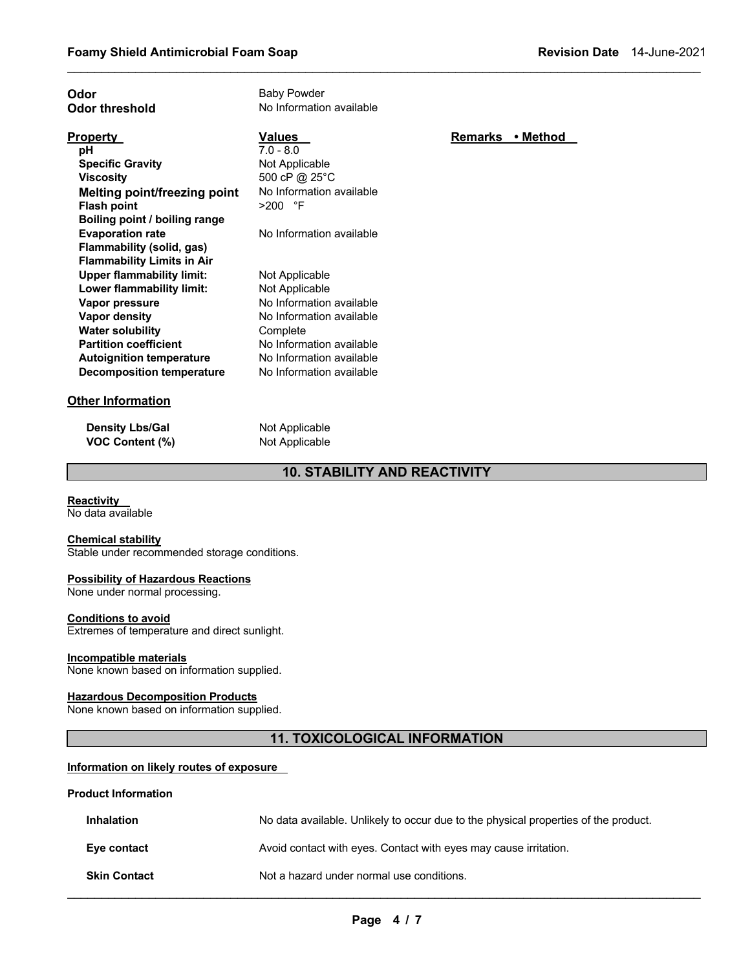| No Information available<br><b>Odor threshold</b><br>Values<br><b>Remarks</b><br>• Method<br><b>Property</b><br>$7.0 - 8.0$<br>рH<br>Not Applicable<br><b>Specific Gravity</b><br>500 cP @ 25°C<br><b>Viscosity</b><br>No Information available<br><b>Melting point/freezing point</b><br>$>200$ °F<br><b>Flash point</b><br>Boiling point / boiling range<br>No Information available<br><b>Evaporation rate</b><br>Flammability (solid, gas)<br><b>Flammability Limits in Air</b><br><b>Upper flammability limit:</b><br>Not Applicable<br>Lower flammability limit:<br>Not Applicable<br>No Information available<br>Vapor pressure<br>Vapor density<br>No Information available<br><b>Water solubility</b><br>Complete<br><b>Partition coefficient</b><br>No Information available<br>No Information available<br><b>Autoignition temperature</b><br><b>Decomposition temperature</b><br>No Information available | Odor                     | <b>Baby Powder</b> |  |
|-----------------------------------------------------------------------------------------------------------------------------------------------------------------------------------------------------------------------------------------------------------------------------------------------------------------------------------------------------------------------------------------------------------------------------------------------------------------------------------------------------------------------------------------------------------------------------------------------------------------------------------------------------------------------------------------------------------------------------------------------------------------------------------------------------------------------------------------------------------------------------------------------------------------------|--------------------------|--------------------|--|
|                                                                                                                                                                                                                                                                                                                                                                                                                                                                                                                                                                                                                                                                                                                                                                                                                                                                                                                       |                          |                    |  |
|                                                                                                                                                                                                                                                                                                                                                                                                                                                                                                                                                                                                                                                                                                                                                                                                                                                                                                                       |                          |                    |  |
|                                                                                                                                                                                                                                                                                                                                                                                                                                                                                                                                                                                                                                                                                                                                                                                                                                                                                                                       |                          |                    |  |
|                                                                                                                                                                                                                                                                                                                                                                                                                                                                                                                                                                                                                                                                                                                                                                                                                                                                                                                       |                          |                    |  |
|                                                                                                                                                                                                                                                                                                                                                                                                                                                                                                                                                                                                                                                                                                                                                                                                                                                                                                                       |                          |                    |  |
|                                                                                                                                                                                                                                                                                                                                                                                                                                                                                                                                                                                                                                                                                                                                                                                                                                                                                                                       |                          |                    |  |
|                                                                                                                                                                                                                                                                                                                                                                                                                                                                                                                                                                                                                                                                                                                                                                                                                                                                                                                       |                          |                    |  |
|                                                                                                                                                                                                                                                                                                                                                                                                                                                                                                                                                                                                                                                                                                                                                                                                                                                                                                                       |                          |                    |  |
|                                                                                                                                                                                                                                                                                                                                                                                                                                                                                                                                                                                                                                                                                                                                                                                                                                                                                                                       |                          |                    |  |
|                                                                                                                                                                                                                                                                                                                                                                                                                                                                                                                                                                                                                                                                                                                                                                                                                                                                                                                       |                          |                    |  |
|                                                                                                                                                                                                                                                                                                                                                                                                                                                                                                                                                                                                                                                                                                                                                                                                                                                                                                                       |                          |                    |  |
|                                                                                                                                                                                                                                                                                                                                                                                                                                                                                                                                                                                                                                                                                                                                                                                                                                                                                                                       |                          |                    |  |
|                                                                                                                                                                                                                                                                                                                                                                                                                                                                                                                                                                                                                                                                                                                                                                                                                                                                                                                       |                          |                    |  |
|                                                                                                                                                                                                                                                                                                                                                                                                                                                                                                                                                                                                                                                                                                                                                                                                                                                                                                                       |                          |                    |  |
|                                                                                                                                                                                                                                                                                                                                                                                                                                                                                                                                                                                                                                                                                                                                                                                                                                                                                                                       |                          |                    |  |
|                                                                                                                                                                                                                                                                                                                                                                                                                                                                                                                                                                                                                                                                                                                                                                                                                                                                                                                       |                          |                    |  |
|                                                                                                                                                                                                                                                                                                                                                                                                                                                                                                                                                                                                                                                                                                                                                                                                                                                                                                                       |                          |                    |  |
|                                                                                                                                                                                                                                                                                                                                                                                                                                                                                                                                                                                                                                                                                                                                                                                                                                                                                                                       |                          |                    |  |
|                                                                                                                                                                                                                                                                                                                                                                                                                                                                                                                                                                                                                                                                                                                                                                                                                                                                                                                       |                          |                    |  |
|                                                                                                                                                                                                                                                                                                                                                                                                                                                                                                                                                                                                                                                                                                                                                                                                                                                                                                                       | <b>Other Information</b> |                    |  |

\_\_\_\_\_\_\_\_\_\_\_\_\_\_\_\_\_\_\_\_\_\_\_\_\_\_\_\_\_\_\_\_\_\_\_\_\_\_\_\_\_\_\_\_\_\_\_\_\_\_\_\_\_\_\_\_\_\_\_\_\_\_\_\_\_\_\_\_\_\_\_\_\_\_\_\_\_\_\_\_\_\_\_\_\_\_\_\_\_\_\_\_\_

**Density Lbs/Gal** Not Applicable **VOC Content (%)** Not Applicable

# **10. STABILITY AND REACTIVITY**

**Reactivity** 

No data available

**Chemical stability** Stable under recommended storage conditions.

#### **Possibility of Hazardous Reactions**

None under normal processing.

#### **Conditions to avoid**

Extremes of temperature and direct sunlight.

# **Incompatible materials**

None known based on information supplied.

#### **Hazardous Decomposition Products**

None known based on information supplied.

### **11. TOXICOLOGICAL INFORMATION**

# **Information on likely routes of exposure**

#### **Product Information**

| <b>Inhalation</b>   | No data available. Unlikely to occur due to the physical properties of the product. |
|---------------------|-------------------------------------------------------------------------------------|
| Eye contact         | Avoid contact with eyes. Contact with eyes may cause irritation.                    |
| <b>Skin Contact</b> | Not a hazard under normal use conditions.                                           |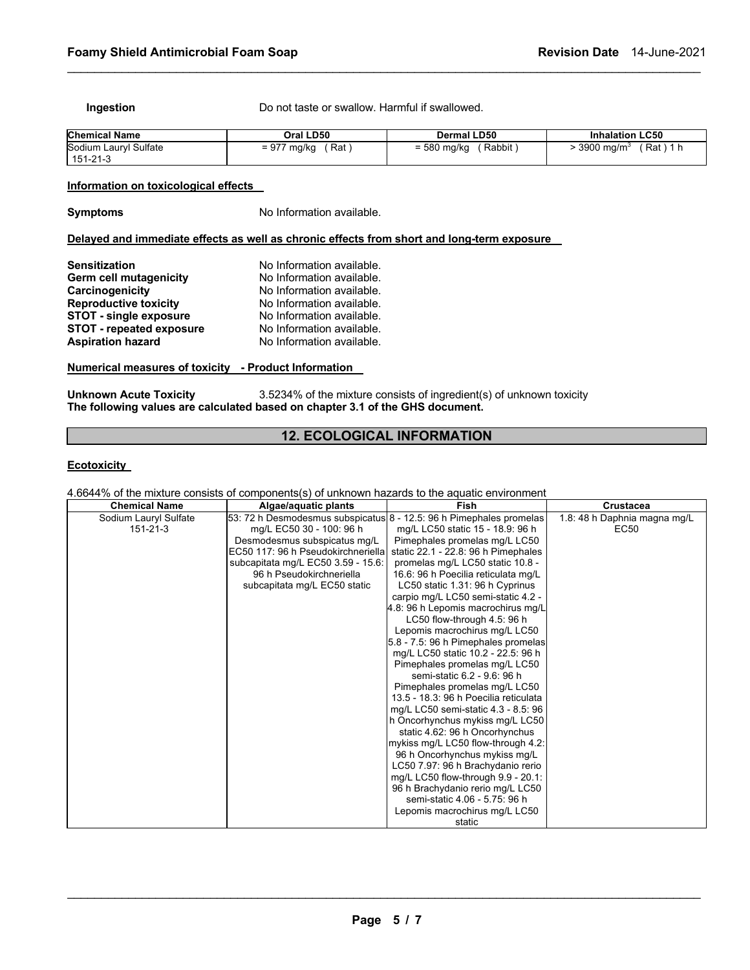**Ingestion Do not taste or swallow. Harmful if swallowed.** 

| <b>Chemical Name</b>  | Oral LD50   | Dermal LD50   | <b>Inhalation LC50</b>   |
|-----------------------|-------------|---------------|--------------------------|
| Sodium Lauryl Sulfate | = 977 mg/kg | Rabbit        | $\cdot$ 3900 ma/m $^3$ . |
| 151-21-3              | ั Rat )     | $= 580$ mg/kg | (Rat)1h                  |

\_\_\_\_\_\_\_\_\_\_\_\_\_\_\_\_\_\_\_\_\_\_\_\_\_\_\_\_\_\_\_\_\_\_\_\_\_\_\_\_\_\_\_\_\_\_\_\_\_\_\_\_\_\_\_\_\_\_\_\_\_\_\_\_\_\_\_\_\_\_\_\_\_\_\_\_\_\_\_\_\_\_\_\_\_\_\_\_\_\_\_\_\_

#### **Information on toxicological effects**

**Symptoms No Information available.** 

# **Delayed and immediate effects as well as chronic effects from short and long-term exposure**

| <b>Sensitization</b>            | No Information available. |
|---------------------------------|---------------------------|
| <b>Germ cell mutagenicity</b>   | No Information available. |
| Carcinogenicity                 | No Information available. |
| <b>Reproductive toxicity</b>    | No Information available. |
| <b>STOT - single exposure</b>   | No Information available. |
| <b>STOT - repeated exposure</b> | No Information available. |
| <b>Aspiration hazard</b>        | No Information available. |

#### **Numerical measures of toxicity - Product Information**

**Unknown Acute Toxicity** 3.5234% of the mixture consists of ingredient(s) of unknown toxicity **The following values are calculated based on chapter 3.1 of the GHS document.**

### **12. ECOLOGICAL INFORMATION**

#### **Ecotoxicity**

4.6644% of the mixture consists of components(s) of unknown hazards to the aquatic environment

| <b>Chemical Name</b>  | Algae/aquatic plants                                                | Fish                                  | Crustacea                    |
|-----------------------|---------------------------------------------------------------------|---------------------------------------|------------------------------|
| Sodium Lauryl Sulfate | 53: 72 h Desmodesmus subspicatus 8 - 12.5: 96 h Pimephales promelas |                                       | 1.8: 48 h Daphnia magna mg/L |
| $151 - 21 - 3$        | mg/L EC50 30 - 100: 96 h                                            | mg/L LC50 static 15 - 18.9: 96 h      | EC <sub>50</sub>             |
|                       | Desmodesmus subspicatus mg/L                                        | Pimephales promelas mg/L LC50         |                              |
|                       | EC50 117: 96 h Pseudokirchneriella                                  | static 22.1 - 22.8: 96 h Pimephales   |                              |
|                       | subcapitata mg/L EC50 3.59 - 15.6:                                  | promelas mg/L LC50 static 10.8 -      |                              |
|                       | 96 h Pseudokirchneriella                                            | 16.6: 96 h Poecilia reticulata mg/L   |                              |
|                       | subcapitata mg/L EC50 static                                        | LC50 static 1.31: 96 h Cyprinus       |                              |
|                       |                                                                     | carpio mg/L LC50 semi-static 4.2 -    |                              |
|                       |                                                                     | 4.8: 96 h Lepomis macrochirus mg/L    |                              |
|                       |                                                                     | LC50 flow-through 4.5: 96 h           |                              |
|                       |                                                                     | Lepomis macrochirus mg/L LC50         |                              |
|                       |                                                                     | 5.8 - 7.5: 96 h Pimephales promelas   |                              |
|                       |                                                                     | mg/L LC50 static 10.2 - 22.5: 96 h    |                              |
|                       |                                                                     | Pimephales promelas mg/L LC50         |                              |
|                       |                                                                     | semi-static 6.2 - 9.6: 96 h           |                              |
|                       |                                                                     | Pimephales promelas mg/L LC50         |                              |
|                       |                                                                     | 13.5 - 18.3: 96 h Poecilia reticulata |                              |
|                       |                                                                     | mg/L LC50 semi-static 4.3 - 8.5: 96   |                              |
|                       |                                                                     | h Oncorhynchus mykiss mg/L LC50       |                              |
|                       |                                                                     | static 4.62: 96 h Oncorhynchus        |                              |
|                       |                                                                     | mykiss mg/L LC50 flow-through 4.2:    |                              |
|                       |                                                                     | 96 h Oncorhynchus mykiss mg/L         |                              |
|                       |                                                                     | LC50 7.97: 96 h Brachydanio rerio     |                              |
|                       |                                                                     | mg/L LC50 flow-through 9.9 - 20.1:    |                              |
|                       |                                                                     | 96 h Brachydanio rerio mg/L LC50      |                              |
|                       |                                                                     | semi-static 4.06 - 5.75: 96 h         |                              |
|                       |                                                                     | Lepomis macrochirus mg/L LC50         |                              |
|                       |                                                                     | static                                |                              |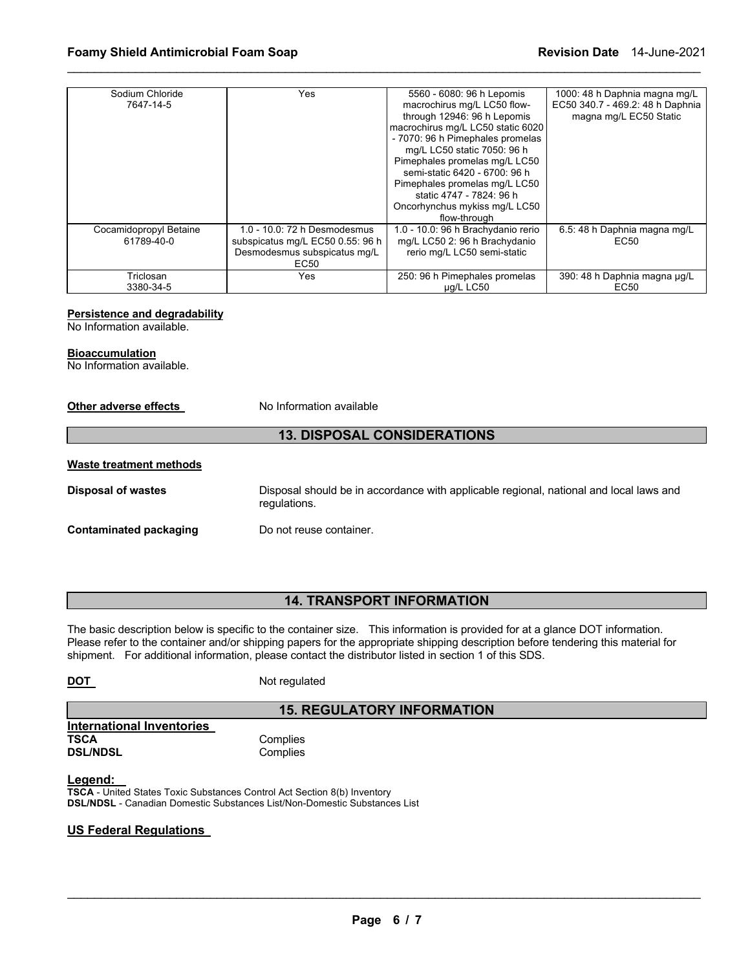| Sodium Chloride<br>7647-14-5 | Yes                                                                                  | 5560 - 6080: 96 h Lepomis<br>macrochirus mg/L LC50 flow-<br>through 12946: 96 h Lepomis<br>macrochirus mg/L LC50 static 6020<br>- 7070: 96 h Pimephales promelas<br>mg/L LC50 static 7050: 96 h<br>Pimephales promelas mg/L LC50<br>semi-static 6420 - 6700: 96 h<br>Pimephales promelas mg/L LC50<br>static 4747 - 7824: 96 h<br>Oncorhynchus mykiss mg/L LC50 | 1000: 48 h Daphnia magna mg/L<br>EC50 340.7 - 469.2: 48 h Daphnia<br>magna mg/L EC50 Static |
|------------------------------|--------------------------------------------------------------------------------------|-----------------------------------------------------------------------------------------------------------------------------------------------------------------------------------------------------------------------------------------------------------------------------------------------------------------------------------------------------------------|---------------------------------------------------------------------------------------------|
| Cocamidopropyl Betaine       | 1.0 - 10.0: 72 h Desmodesmus                                                         | flow-through<br>1.0 - 10.0: 96 h Brachydanio rerio                                                                                                                                                                                                                                                                                                              | 6.5: 48 h Daphnia magna mg/L                                                                |
| 61789-40-0                   | subspicatus mg/L EC50 0.55: 96 h<br>Desmodesmus subspicatus mq/L<br>EC <sub>50</sub> | mg/L LC50 2: 96 h Brachydanio<br>rerio mg/L LC50 semi-static                                                                                                                                                                                                                                                                                                    | EC50                                                                                        |
| Triclosan<br>3380-34-5       | Yes                                                                                  | 250: 96 h Pimephales promelas<br>µg/L LC50                                                                                                                                                                                                                                                                                                                      | 390: 48 h Daphnia magna µg/L<br>EC50                                                        |

\_\_\_\_\_\_\_\_\_\_\_\_\_\_\_\_\_\_\_\_\_\_\_\_\_\_\_\_\_\_\_\_\_\_\_\_\_\_\_\_\_\_\_\_\_\_\_\_\_\_\_\_\_\_\_\_\_\_\_\_\_\_\_\_\_\_\_\_\_\_\_\_\_\_\_\_\_\_\_\_\_\_\_\_\_\_\_\_\_\_\_\_\_

#### **Persistence and degradability**

No Information available.

#### **Bioaccumulation**

No Information available.

#### **Other adverse effects** No Information available

#### **13. DISPOSAL CONSIDERATIONS**

#### **Waste treatment methods**

**Disposal of wastes** Disposal should be in accordance with applicable regional, national and local laws and regulations.

**Contaminated packaging Theory Container.** Do not reuse container.

# **14. TRANSPORT INFORMATION**

The basic description below is specific to the container size. This information is provided for at a glance DOT information. Please refer to the container and/or shipping papers for the appropriate shipping description before tendering this material for shipment. For additional information, please contact the distributor listed in section 1 of this SDS.

| <b>DOT</b> | Not regulated |
|------------|---------------|
|            |               |

# **15. REGULATORY INFORMATION**

**International Inventories TSCA** Complies<br> **DSL/NDSL** Complies

**Complies** 

#### **Legend:**

**TSCA** - United States Toxic Substances Control Act Section 8(b) Inventory **DSL/NDSL** - Canadian Domestic Substances List/Non-Domestic Substances List

#### **US Federal Regulations**